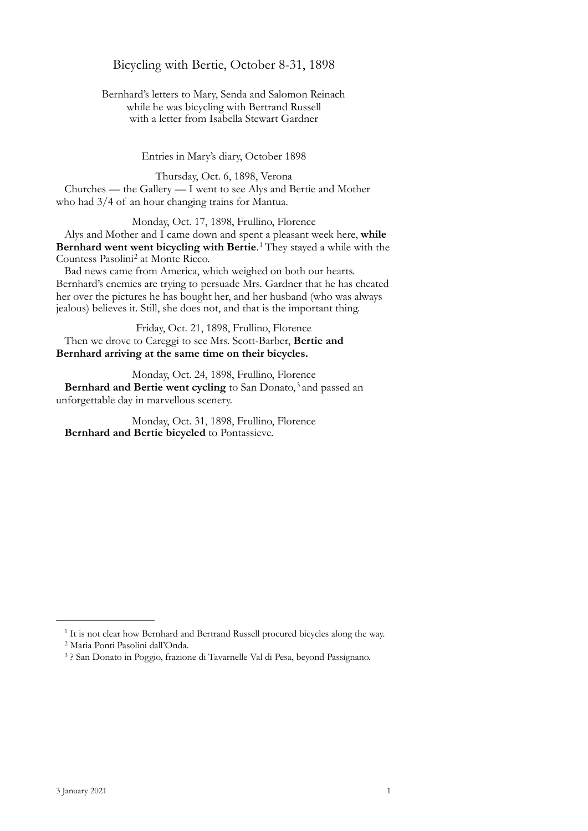Bicycling with Bertie, October 8-31, 1898

Bernhard's letters to Mary, Senda and Salomon Reinach while he was bicycling with Bertrand Russell with a letter from Isabella Stewart Gardner

Entries in Mary's diary, October 1898

Thursday, Oct. 6, 1898, Verona Churches — the Gallery — I went to see Alys and Bertie and Mother who had 3/4 of an hour changing trains for Mantua.

Monday, Oct. 17, 1898, Frullino, Florence Alys and Mother and I came down and spent a pleasant week here, **while Bernhard went went bicycling with Bertie**.<sup>[1](#page-0-0)</sup> They stayed a while with the Countess Pasolini<sup>[2](#page-0-1)</sup> at Monte Ricco.

Bad news came from America, which weighed on both our hearts. Bernhard's enemies are trying to persuade Mrs. Gardner that he has cheated her over the pictures he has bought her, and her husband (who was always jealous) believes it. Still, she does not, and that is the important thing.

Friday, Oct. 21, 1898, Frullino, Florence Then we drove to Careggi to see Mrs. Scott-Barber, **Bertie and Bernhard arriving at the same time on their bicycles.**

Monday, Oct. 24, 1898, Frullino, Florence Bernhard and Bertie went cycling to San Donato,<sup>[3](#page-0-2)</sup> and passed an unforgettable day in marvellous scenery.

Monday, Oct. 31, 1898, Frullino, Florence **Bernhard and Bertie bicycled** to Pontassieve.

<span id="page-0-0"></span><sup>&</sup>lt;sup>1</sup> It is not clear how Bernhard and Bertrand Russell procured bicycles along the way.

<span id="page-0-1"></span><sup>2</sup> Maria Ponti Pasolini dall'Onda.

<span id="page-0-2"></span><sup>3 ?</sup> San Donato in Poggio, frazione di Tavarnelle Val di Pesa, beyond Passignano.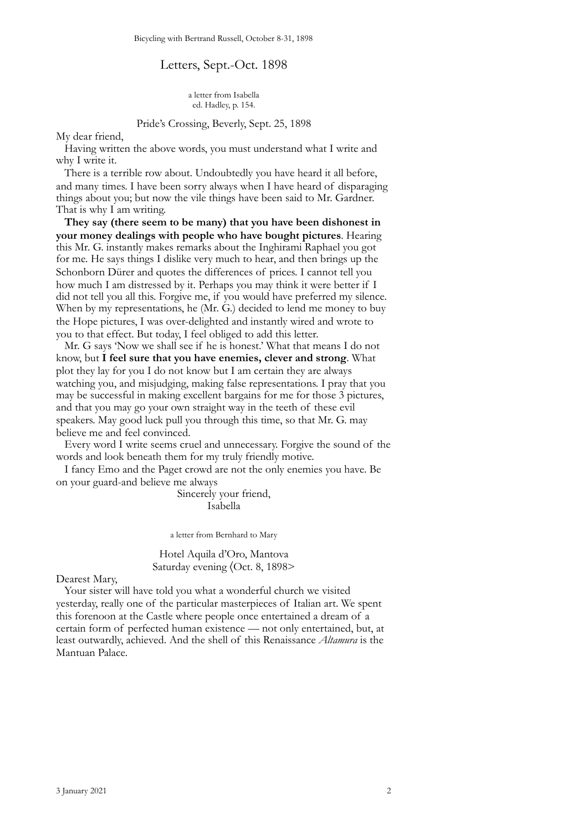## Letters, Sept.-Oct. 1898

a letter from Isabella ed. Hadley, p. 154.

#### Pride's Crossing, Beverly, Sept. 25, 1898

My dear friend,

Having written the above words, you must understand what I write and why I write it.

There is a terrible row about. Undoubtedly you have heard it all before, and many times. I have been sorry always when I have heard of disparaging things about you; but now the vile things have been said to Mr. Gardner. That is why I am writing.

**They say (there seem to be many) that you have been dishonest in your money dealings with people who have bought pictures**. Hearing this Mr. G. instantly makes remarks about the Inghirami Raphael you got for me. He says things I dislike very much to hear, and then brings up the Schonborn Dürer and quotes the differences of prices. I cannot tell you how much I am distressed by it. Perhaps you may think it were better if I did not tell you all this. Forgive me, if you would have preferred my silence. When by my representations, he (Mr. G.) decided to lend me money to buy the Hope pictures, I was over-delighted and instantly wired and wrote to you to that effect. But today, I feel obliged to add this letter.

Mr. G says 'Now we shall see if he is honest.' What that means I do not know, but **I feel sure that you have enemies, clever and strong**. What plot they lay for you I do not know but I am certain they are always watching you, and misjudging, making false representations. I pray that you may be successful in making excellent bargains for me for those 3 pictures, and that you may go your own straight way in the teeth of these evil speakers. May good luck pull you through this time, so that Mr. G. may believe me and feel convinced.

Every word I write seems cruel and unnecessary. Forgive the sound of the words and look beneath them for my truly friendly motive.

I fancy Emo and the Paget crowd are not the only enemies you have. Be on your guard-and believe me always

> Sincerely your friend, Isabella

a letter from Bernhard to Mary

Hotel Aquila d'Oro, Mantova Saturday evening 〈Oct. 8, 1898>

Dearest Mary,

Your sister will have told you what a wonderful church we visited yesterday, really one of the particular masterpieces of Italian art. We spent this forenoon at the Castle where people once entertained a dream of a certain form of perfected human existence — not only entertained, but, at least outwardly, achieved. And the shell of this Renaissance *Altamura* is the Mantuan Palace.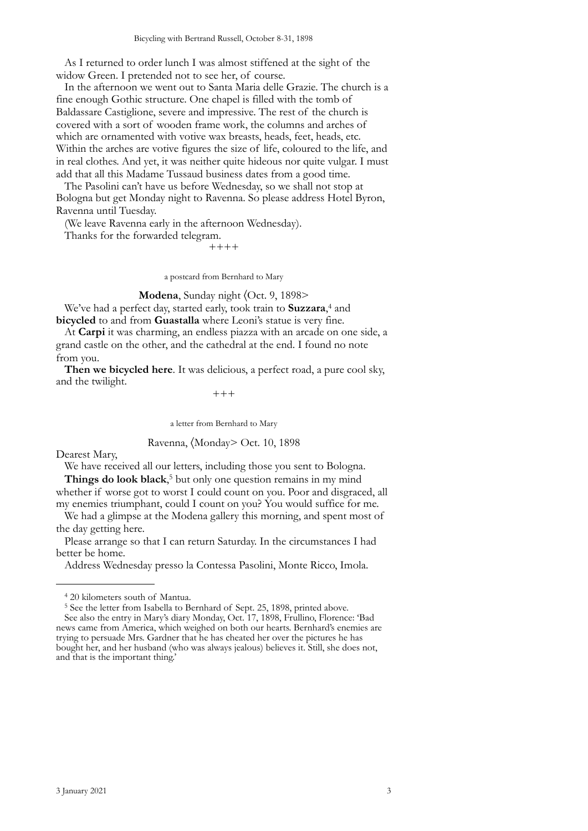As I returned to order lunch I was almost stiffened at the sight of the widow Green. I pretended not to see her, of course.

In the afternoon we went out to Santa Maria delle Grazie. The church is a fine enough Gothic structure. One chapel is filled with the tomb of Baldassare Castiglione, severe and impressive. The rest of the church is covered with a sort of wooden frame work, the columns and arches of which are ornamented with votive wax breasts, heads, feet, heads, etc. Within the arches are votive figures the size of life, coloured to the life, and in real clothes. And yet, it was neither quite hideous nor quite vulgar. I must add that all this Madame Tussaud business dates from a good time.

The Pasolini can't have us before Wednesday, so we shall not stop at Bologna but get Monday night to Ravenna. So please address Hotel Byron, Ravenna until Tuesday.

(We leave Ravenna early in the afternoon Wednesday).

Thanks for the forwarded telegram.

++++

a postcard from Bernhard to Mary

**Modena**, Sunday night 〈Oct. 9, 1898>

We've had a perfect day, started early, took train to **Suzzara**, [4](#page-2-0) and **bicycled** to and from **Guastalla** where Leoni's statue is very fine.

At **Carpi** it was charming, an endless piazza with an arcade on one side, a grand castle on the other, and the cathedral at the end. I found no note from you.

**Then we bicycled here**. It was delicious, a perfect road, a pure cool sky, and the twilight.

 $+++$ 

a letter from Bernhard to Mary

Ravenna, 〈Monday> Oct. 10, 1898

Dearest Mary,

We have received all our letters, including those you sent to Bologna.

**Things do look black**, [5](#page-2-1) but only one question remains in my mind whether if worse got to worst I could count on you. Poor and disgraced, all my enemies triumphant, could I count on you? You would suffice for me.

We had a glimpse at the Modena gallery this morning, and spent most of the day getting here.

Please arrange so that I can return Saturday. In the circumstances I had better be home.

Address Wednesday presso la Contessa Pasolini, Monte Ricco, Imola.

<span id="page-2-0"></span><sup>4 20</sup> kilometers south of Mantua.

<span id="page-2-1"></span><sup>5</sup> See the letter from Isabella to Bernhard of Sept. 25, 1898, printed above. See also the entry in Mary's diary Monday, Oct. 17, 1898, Frullino, Florence: 'Bad news came from America, which weighed on both our hearts. Bernhard's enemies are trying to persuade Mrs. Gardner that he has cheated her over the pictures he has bought her, and her husband (who was always jealous) believes it. Still, she does not, and that is the important thing.'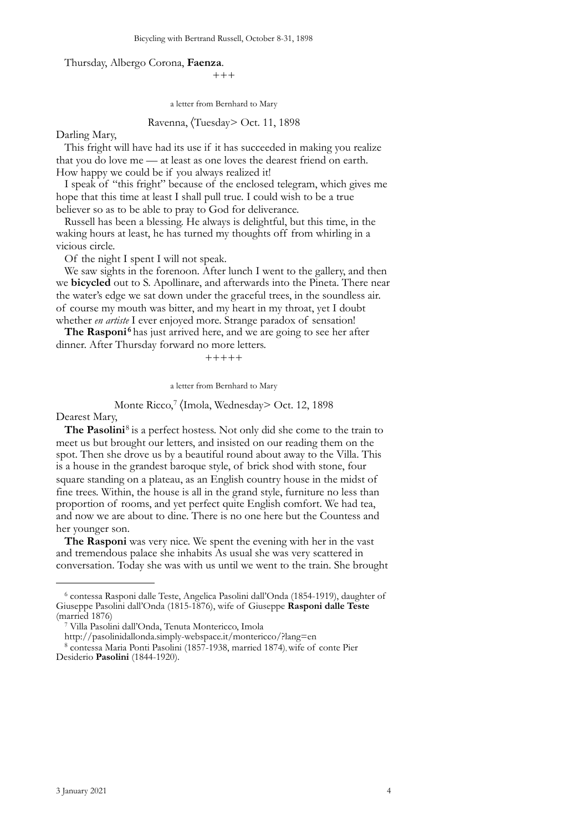#### Thursday, Albergo Corona, **Faenza**.

+++

a letter from Bernhard to Mary

## Ravenna, 〈Tuesday> Oct. 11, 1898

#### Darling Mary,

This fright will have had its use if it has succeeded in making you realize that you do love me — at least as one loves the dearest friend on earth. How happy we could be if you always realized it!

I speak of "this fright" because of the enclosed telegram, which gives me hope that this time at least I shall pull true. I could wish to be a true believer so as to be able to pray to God for deliverance.

Russell has been a blessing. He always is delightful, but this time, in the waking hours at least, he has turned my thoughts off from whirling in a vicious circle.

Of the night I spent I will not speak.

We saw sights in the forenoon. After lunch I went to the gallery, and then we **bicycled** out to S. Apollinare, and afterwards into the Pineta. There near the water's edge we sat down under the graceful trees, in the soundless air. of course my mouth was bitter, and my heart in my throat, yet I doubt whether *en artiste* I ever enjoyed more. Strange paradox of sensation!

The Rasponi<sup>[6](#page-3-0)</sup> has just arrived here, and we are going to see her after dinner. After Thursday forward no more letters.

 $+++++$ 

a letter from Bernhard to Mary

# Monte Ricco,<sup>[7](#page-3-1)</sup> (Imola, Wednesday> Oct. 12, 1898

Dearest Mary,

The Pasolini<sup>[8](#page-3-2)</sup> is a perfect hostess. Not only did she come to the train to meet us but brought our letters, and insisted on our reading them on the spot. Then she drove us by a beautiful round about away to the Villa. This is a house in the grandest baroque style, of brick shod with stone, four square standing on a plateau, as an English country house in the midst of fine trees. Within, the house is all in the grand style, furniture no less than proportion of rooms, and yet perfect quite English comfort. We had tea, and now we are about to dine. There is no one here but the Countess and her younger son.

**The Rasponi** was very nice. We spent the evening with her in the vast and tremendous palace she inhabits As usual she was very scattered in conversation. Today she was with us until we went to the train. She brought

<span id="page-3-0"></span><sup>6</sup> contessa Rasponi dalle Teste, Angelica Pasolini dall'Onda (1854-1919), daughter of Giuseppe Pasolini dall'Onda (1815-1876), wife of Giuseppe **Rasponi dalle Teste** (married 1876)

<span id="page-3-1"></span><sup>7</sup> Villa Pasolini dall'Onda, Tenuta Montericco, Imola

http://pasolinidallonda.simply-webspace.it/montericco/?lang=en

<span id="page-3-2"></span><sup>8</sup> contessa Maria Ponti Pasolini (1857-1938, married 1874), wife of conte Pier Desiderio **Pasolini** (1844-1920).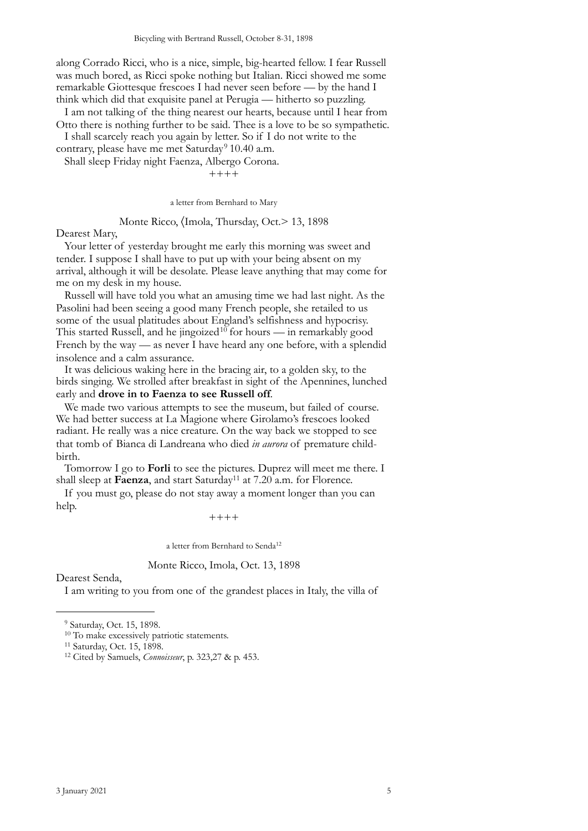along Corrado Ricci, who is a nice, simple, big-hearted fellow. I fear Russell was much bored, as Ricci spoke nothing but Italian. Ricci showed me some remarkable Giottesque frescoes I had never seen before — by the hand I think which did that exquisite panel at Perugia — hitherto so puzzling.

I am not talking of the thing nearest our hearts, because until I hear from Otto there is nothing further to be said. Thee is a love to be so sympathetic. I shall scarcely reach you again by letter. So if I do not write to the

contrary, please have me met Saturday<sup>[9](#page-4-0)</sup> 10.40 a.m.

Shall sleep Friday night Faenza, Albergo Corona.

++++

a letter from Bernhard to Mary

## Monte Ricco, (Imola, Thursday, Oct.> 13, 1898

Dearest Mary,

Your letter of yesterday brought me early this morning was sweet and tender. I suppose I shall have to put up with your being absent on my arrival, although it will be desolate. Please leave anything that may come for me on my desk in my house.

Russell will have told you what an amusing time we had last night. As the Pasolini had been seeing a good many French people, she retailed to us some of the usual platitudes about England's selfishness and hypocrisy. This started Russell, and he jingoized<sup>[10](#page-4-1)</sup> for hours — in remarkably good French by the way — as never I have heard any one before, with a splendid insolence and a calm assurance.

It was delicious waking here in the bracing air, to a golden sky, to the birds singing. We strolled after breakfast in sight of the Apennines, lunched early and **drove in to Faenza to see Russell off**.

We made two various attempts to see the museum, but failed of course. We had better success at La Magione where Girolamo's frescoes looked radiant. He really was a nice creature. On the way back we stopped to see that tomb of Bianca di Landreana who died *in aurora* of premature childbirth.

Tomorrow I go to **Forli** to see the pictures. Duprez will meet me there. I shall sleep at **Faenza**, and start Saturday<sup>11</sup> at 7.20 a.m. for Florence.

If you must go, please do not stay away a moment longer than you can help.

 $+++++$ 

a letter from Bernhard to Send[a12](#page-4-3)

## Monte Ricco, Imola, Oct. 13, 1898

Dearest Senda,

I am writing to you from one of the grandest places in Italy, the villa of

<span id="page-4-0"></span><sup>9</sup> Saturday, Oct. 15, 1898.

<span id="page-4-1"></span><sup>&</sup>lt;sup>10</sup> To make excessively patriotic statements.

<span id="page-4-2"></span><sup>11</sup> Saturday, Oct. 15, 1898.

<span id="page-4-3"></span><sup>12</sup> Cited by Samuels, *Connoisseur*, p. 323,27 & p. 453.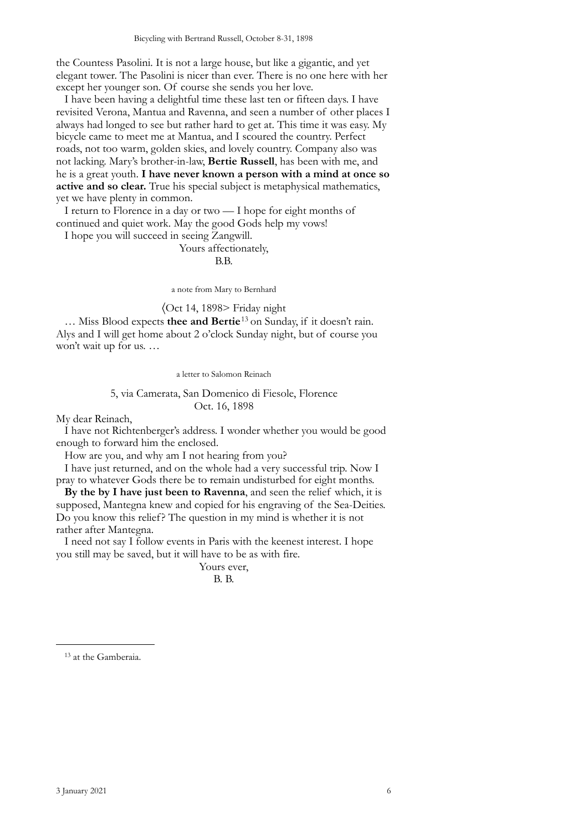the Countess Pasolini. It is not a large house, but like a gigantic, and yet elegant tower. The Pasolini is nicer than ever. There is no one here with her except her younger son. Of course she sends you her love.

I have been having a delightful time these last ten or fifteen days. I have revisited Verona, Mantua and Ravenna, and seen a number of other places I always had longed to see but rather hard to get at. This time it was easy. My bicycle came to meet me at Mantua, and I scoured the country. Perfect roads, not too warm, golden skies, and lovely country. Company also was not lacking. Mary's brother-in-law, **Bertie Russell**, has been with me, and he is a great youth. **I have never known a person with a mind at once so active and so clear.** True his special subject is metaphysical mathematics, yet we have plenty in common.

I return to Florence in a day or two — I hope for eight months of continued and quiet work. May the good Gods help my vows!

I hope you will succeed in seeing Zangwill.

#### Yours affectionately,

#### B.B.

a note from Mary to Bernhard

〈Oct 14, 1898> Friday night

… Miss Blood expects **thee and Bertie**[13](#page-5-0) on Sunday, if it doesn't rain. Alys and I will get home about 2 o'clock Sunday night, but of course you won't wait up for us. …

a letter to Salomon Reinach

## 5, via Camerata, San Domenico di Fiesole, Florence Oct. 16, 1898

My dear Reinach,

I have not Richtenberger's address. I wonder whether you would be good enough to forward him the enclosed.

How are you, and why am I not hearing from you?

I have just returned, and on the whole had a very successful trip. Now I pray to whatever Gods there be to remain undisturbed for eight months.

**By the by I have just been to Ravenna**, and seen the relief which, it is supposed, Mantegna knew and copied for his engraving of the Sea-Deities. Do you know this relief? The question in my mind is whether it is not rather after Mantegna.

I need not say I follow events in Paris with the keenest interest. I hope you still may be saved, but it will have to be as with fire.

> Yours ever, B. B.

<span id="page-5-0"></span>13 at the Gamberaia.